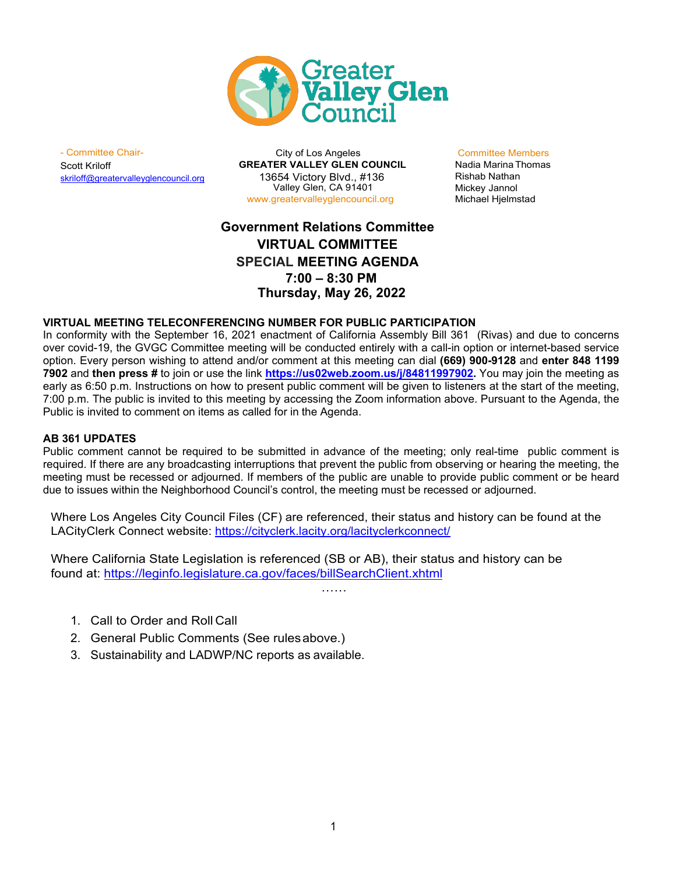

Scott Kriloff [skriloff@greatervalleyglencouncil.org](mailto:asipp@greatervalleyglencouncil.org)

- Committee Chair- City of Los Angeles Committee Members **GREATER VALLEY GLEN COUNCIL** 13654 Victory Blvd., #136 Valley Glen, CA 91401 [www.greatervalleyglencouncil.org](http://www.greatervalleyglencouncil.org/)

Rishab Nathan Mickey Jannol Michael Hjelmstad

## **Government Relations Committee VIRTUAL COMMITTEE SPECIAL MEETING AGENDA 7:00 – 8:30 PM Thursday, May 26, 2022**

## **VIRTUAL MEETING TELECONFERENCING NUMBER FOR PUBLIC PARTICIPATION**

In conformity with the September 16, 2021 enactment of California Assembly Bill 361 (Rivas) and due to concerns over covid-19, the GVGC Committee meeting will be conducted entirely with a call-in option or internet-based service option. Every person wishing to attend and/or comment at this meeting can dial **(669) 900-9128** and **enter 848 1199 7902** and **then press #** to join or use the link **[https://us02web.zoom.us/j/84811997902.](https://us02web.zoom.us/j/84811997902)** You may join the meeting as early as 6:50 p.m. Instructions on how to present public comment will be given to listeners at the start of the meeting, 7:00 p.m. The public is invited to this meeting by accessing the Zoom information above. Pursuant to the Agenda, the Public is invited to comment on items as called for in the Agenda.

## **AB 361 UPDATES**

Public comment cannot be required to be submitted in advance of the meeting; only real-time public comment is required. If there are any broadcasting interruptions that prevent the public from observing or hearing the meeting, the meeting must be recessed or adjourned. If members of the public are unable to provide public comment or be heard due to issues within the Neighborhood Council's control, the meeting must be recessed or adjourned.

Where Los Angeles City Council Files (CF) are referenced, their status and history can be found at the LACityClerk Connect website: https://cityclerk.lacity.org/lacityclerkconnect/

……

Where California State Legislation is referenced (SB or AB), their status and history can be found at: https://leginfo.legislature.ca.gov/faces/billSearchClient.xhtml

- 1. Call to Order and Roll Call
- 2. General Public Comments (See rulesabove.)
- 3. Sustainability and LADWP/NC reports as available.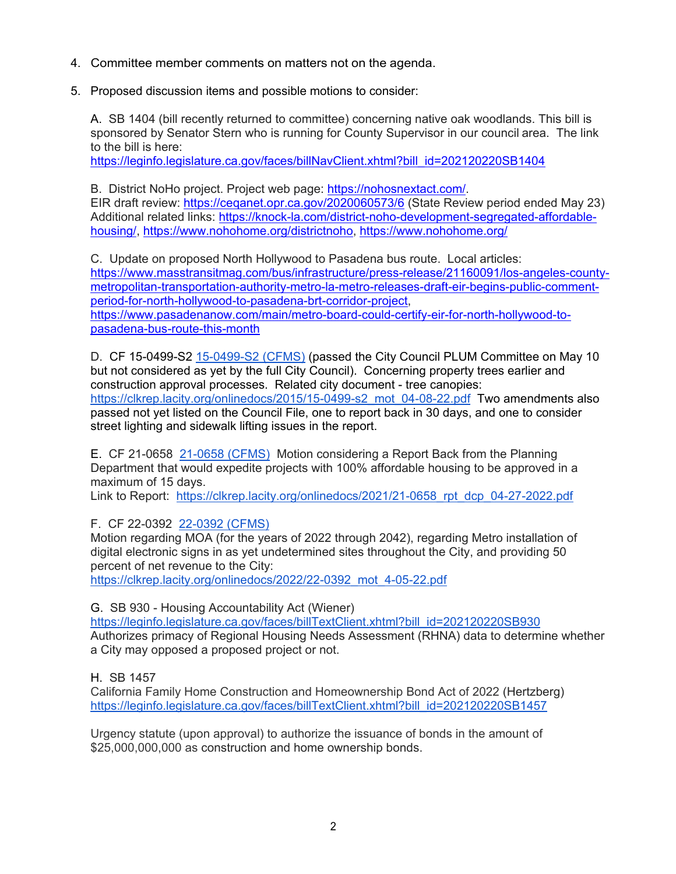- 4. Committee member comments on matters not on the agenda.
- 5. Proposed discussion items and possible motions to consider:

A. SB 1404 (bill recently returned to committee) concerning native oak woodlands. This bill is sponsored by Senator Stern who is running for County Supervisor in our council area. The link to the bill is here:

https://leginfo.legislature.ca.gov/faces/billNayClient.xhtml?bill\_id=202120220SB1404

B. District NoHo project. Project web page: [https://nohosnextact.com/.](https://nohosnextact.com/) EIR draft review:<https://ceqanet.opr.ca.gov/2020060573/6> (State Review period ended May 23) Additional related links: [https://knock-la.com/district-noho-development-segregated-affordable](https://knock-la.com/district-noho-development-segregated-affordable-housing/)[housing/,](https://knock-la.com/district-noho-development-segregated-affordable-housing/) [https://www.nohohome.org/districtnoho,](https://www.nohohome.org/districtnoho) <https://www.nohohome.org/>

C. Update on proposed North Hollywood to Pasadena bus route. Local articles: [https://www.masstransitmag.com/bus/infrastructure/press-release/21160091/los-angeles-county](https://www.masstransitmag.com/bus/infrastructure/press-release/21160091/los-angeles-county-metropolitan-transportation-authority-metro-la-metro-releases-draft-eir-begins-public-comment-period-for-north-hollywood-to-pasadena-brt-corridor-project)[metropolitan-transportation-authority-metro-la-metro-releases-draft-eir-begins-public-comment](https://www.masstransitmag.com/bus/infrastructure/press-release/21160091/los-angeles-county-metropolitan-transportation-authority-metro-la-metro-releases-draft-eir-begins-public-comment-period-for-north-hollywood-to-pasadena-brt-corridor-project)[period-for-north-hollywood-to-pasadena-brt-corridor-project,](https://www.masstransitmag.com/bus/infrastructure/press-release/21160091/los-angeles-county-metropolitan-transportation-authority-metro-la-metro-releases-draft-eir-begins-public-comment-period-for-north-hollywood-to-pasadena-brt-corridor-project) [https://www.pasadenanow.com/main/metro-board-could-certify-eir-for-north-hollywood-to](https://www.pasadenanow.com/main/metro-board-could-certify-eir-for-north-hollywood-to-pasadena-bus-route-this-month)[pasadena-bus-route-this-month](https://www.pasadenanow.com/main/metro-board-could-certify-eir-for-north-hollywood-to-pasadena-bus-route-this-month)

D. CF 15-0499-S2 [15-0499-S2 \(CFMS\)](https://cityclerk.lacity.org/lacityclerkconnect/index.cfm?fa=ccfi.viewrecord&cfnumber=15-0499-S2) (passed the City Council PLUM Committee on May 10 but not considered as yet by the full City Council). Concerning property trees earlier and construction approval processes. Related city document - tree canopies: [https://clkrep.lacity.org/onlinedocs/2015/15-0499-s2\\_mot\\_04-08-22.pdf](https://clkrep.lacity.org/onlinedocs/2015/15-0499-s2_mot_04-08-22.pdf) Two amendments also passed not yet listed on the Council File, one to report back in 30 days, and one to consider street lighting and sidewalk lifting issues in the report.

E. CF 21-0658 [21-0658 \(CFMS\)](https://cityclerk.lacity.org/lacityclerkconnect/index.cfm?fa=ccfi.viewrecord&cfnumber=21-0658) Motion considering a Report Back from the Planning Department that would expedite projects with 100% affordable housing to be approved in a maximum of 15 days.

Link to Report: [https://clkrep.lacity.org/onlinedocs/2021/21-0658\\_rpt\\_dcp\\_04-27-2022.pdf](https://clkrep.lacity.org/onlinedocs/2021/21-0658_rpt_dcp_04-27-2022.pdf)

F. CF 22-0392 [22-0392 \(CFMS\)](https://cityclerk.lacity.org/lacityclerkconnect/index.cfm?fa=ccfi.viewrecord&cfnumber=22-0392)

Motion regarding MOA (for the years of 2022 through 2042), regarding Metro installation of digital electronic signs in as yet undetermined sites throughout the City, and providing 50 percent of net revenue to the City:

[https://clkrep.lacity.org/onlinedocs/2022/22-0392\\_mot\\_4-05-22.pdf](https://clkrep.lacity.org/onlinedocs/2022/22-0392_mot_4-05-22.pdf)

G. SB 930 - Housing Accountability Act (Wiener)

[https://leginfo.legislature.ca.gov/faces/billTextClient.xhtml?bill\\_id=202120220SB930](https://leginfo.legislature.ca.gov/faces/billTextClient.xhtml?bill_id=202120220SB930) Authorizes primacy of Regional Housing Needs Assessment (RHNA) data to determine whether a City may opposed a proposed project or not.

H. SB 1457

California Family Home Construction and Homeownership Bond Act of 2022 (Hertzberg) [https://leginfo.legislature.ca.gov/faces/billTextClient.xhtml?bill\\_id=202120220SB1457](https://leginfo.legislature.ca.gov/faces/billTextClient.xhtml?bill_id=202120220SB1457)

Urgency statute (upon approval) to authorize the issuance of bonds in the amount of \$25,000,000,000 as construction and home ownership bonds.